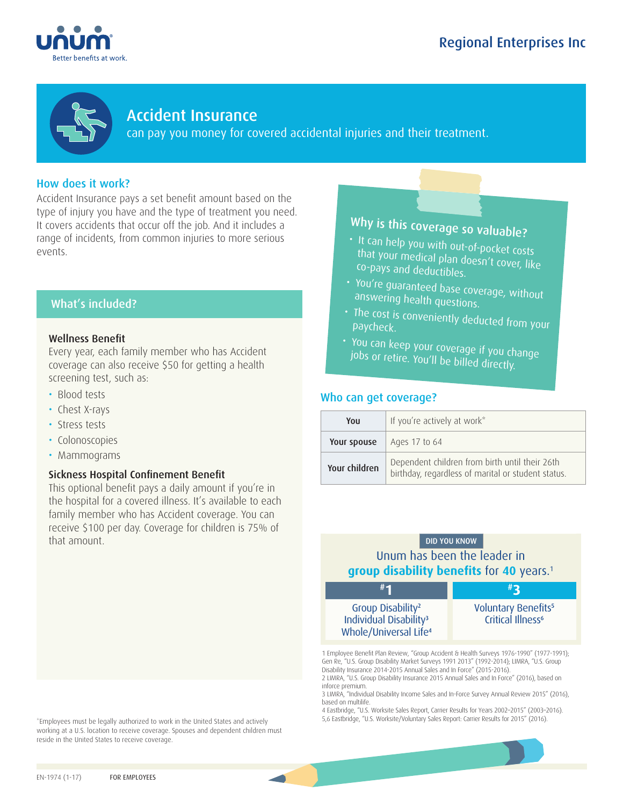





Accident Insurance

can pay you money for covered accidental injuries and their treatment.

# How does it work?

Accident Insurance pays a set benefit amount based on the type of injury you have and the type of treatment you need. It covers accidents that occur off the job. And it includes a range of incidents, from common injuries to more serious events.

# What's included?

## Wellness Benefit

Every year, each family member who has Accident coverage can also receive \$50 for getting a health screening test, such as:

- Blood tests
- Chest X-rays
- Stress tests
- Colonoscopies
- Mammograms

## Sickness Hospital Confinement Benefit

This optional benefit pays a daily amount if you're in the hospital for a covered illness. It's available to each family member who has Accident coverage. You can receive \$100 per day. Coverage for children is 75% of that amount. The contract of the contract of the contract of the contract of the contract of the contract of the contract of the contract of the contract of the contract of the contract of the contract of the contract of t

\*Employees must be legally authorized to work in the United States and actively working at a U.S. location to receive coverage. Spouses and dependent children must reside in the United States to receive coverage.

# Why is this coverage so valuable?

- It can help you with out-of-pocket costs that your medical plan doesn't cover, like co-pays and deductibles.
- You're guaranteed base coverage, without answering health questions.
- The cost is conveniently deducted from your paycheck.
- You can keep your coverage if you change<br>- jobs or retire, You'll keef wat fou change jobs or retire. You'll be billed directly.

# Who can get coverage?

| You           | If you're actively at work*                                                                          |  |
|---------------|------------------------------------------------------------------------------------------------------|--|
| Your spouse   | Ages 17 to 64                                                                                        |  |
| Your children | Dependent children from birth until their 26th<br>birthday, regardless of marital or student status. |  |

# Unum has been the leader in **group disability benefits** for 40 years.<sup>1</sup> **3**



Voluntary Benefits<sup>5</sup> Critical Illness<sup>6</sup>

1 Employee Benefit Plan Review, "Group Accident & Health Surveys 1976-1990" (1977-1991); Gen Re, "U.S. Group Disability Market Surveys 1991 2013" (1992-2014); LIMRA, "U.S. Group Disability Insurance 2014-2015 Annual Sales and In Force" (2015-2016). 2 LIMRA, "U.S. Group Disability Insurance 2015 Annual Sales and In Force" (2016), based on inforce premium.

3 LIMRA, "Individual Disability Income Sales and In-Force Survey Annual Review 2015" (2016), based on multilife.

4 Eastbridge, "U.S. Worksite Sales Report, Carrier Results for Years 2002–2015" (2003–2016). 5,6 Eastbridge, "U.S. Worksite/Voluntary Sales Report: Carrier Results for 2015" (2016).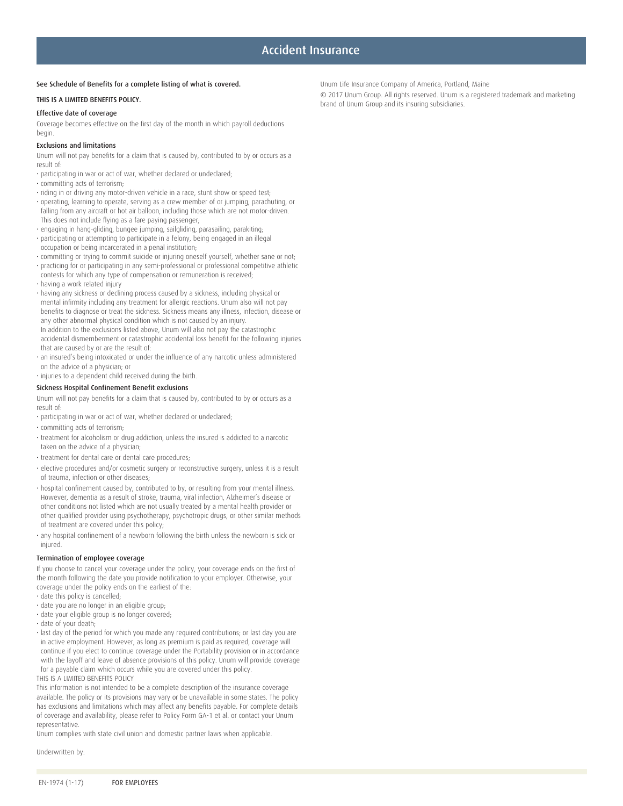#### See Schedule of Benefits for a complete listing of what is covered.

#### THIS IS A LIMITED BENEFITS POLICY.

#### Effective date of coverage

Coverage becomes effective on the first day of the month in which payroll deductions begin.

#### Exclusions and limitations

Unum will not pay benefits for a claim that is caused by, contributed to by or occurs as a result of:

- participating in war or act of war, whether declared or undeclared;
- committing acts of terrorism;
- riding in or driving any motor-driven vehicle in a race, stunt show or speed test;
- operating, learning to operate, serving as a crew member of or jumping, parachuting, or falling from any aircraft or hot air balloon, including those which are not motor-driven. This does not include flying as a fare paying passenger;
- engaging in hang-gliding, bungee jumping, sailgliding, parasailing, parakiting;
- participating or attempting to participate in a felony, being engaged in an illegal occupation or being incarcerated in a penal institution;
- committing or trying to commit suicide or injuring oneself yourself, whether sane or not;
- practicing for or participating in any semi-professional or professional competitive athletic contests for which any type of compensation or remuneration is received; • having a work related injury
- having any sickness or declining process caused by a sickness, including physical or mental infirmity including any treatment for allergic reactions. Unum also will not pay benefits to diagnose or treat the sickness. Sickness means any illness, infection, disease or any other abnormal physical condition which is not caused by an injury. In addition to the exclusions listed above, Unum will also not pay the catastrophic accidental dismemberment or catastrophic accidental loss benefit for the following injuries that are caused by or are the result of:
- an insured's being intoxicated or under the influence of any narcotic unless administered on the advice of a physician; or

• injuries to a dependent child received during the birth.

#### Sickness Hospital Confinement Benefit exclusions

Unum will not pay benefits for a claim that is caused by, contributed to by or occurs as a result of:

- participating in war or act of war, whether declared or undeclared;
- committing acts of terrorism;
- treatment for alcoholism or drug addiction, unless the insured is addicted to a narcotic taken on the advice of a physician;
- treatment for dental care or dental care procedures;
- elective procedures and/or cosmetic surgery or reconstructive surgery, unless it is a result of trauma, infection or other diseases;
- hospital confinement caused by, contributed to by, or resulting from your mental illness. However, dementia as a result of stroke, trauma, viral infection, Alzheimer's disease or other conditions not listed which are not usually treated by a mental health provider or other qualified provider using psychotherapy, psychotropic drugs, or other similar methods of treatment are covered under this policy;
- any hospital confinement of a newborn following the birth unless the newborn is sick or injured.

#### Termination of employee coverage

If you choose to cancel your coverage under the policy, your coverage ends on the first of the month following the date you provide notification to your employer. Otherwise, your coverage under the policy ends on the earliest of the:

- date this policy is cancelled;
- date you are no longer in an eligible group;
- date your eligible group is no longer covered;
- date of your death;
- last day of the period for which you made any required contributions; or last day you are in active employment. However, as long as premium is paid as required, coverage will continue if you elect to continue coverage under the Portability provision or in accordance with the layoff and leave of absence provisions of this policy. Unum will provide coverage for a payable claim which occurs while you are covered under this policy. THIS IS A LIMITED BENEFITS POLICY

This information is not intended to be a complete description of the insurance coverage available. The policy or its provisions may vary or be unavailable in some states. The policy has exclusions and limitations which may affect any benefits payable. For complete details of coverage and availability, please refer to Policy Form GA-1 et al. or contact your Unum representative.

Unum complies with state civil union and domestic partner laws when applicable.

Underwritten by:

Unum Life Insurance Company of America, Portland, Maine

© 2017 Unum Group. All rights reserved. Unum is a registered trademark and marketing brand of Unum Group and its insuring subsidiaries.